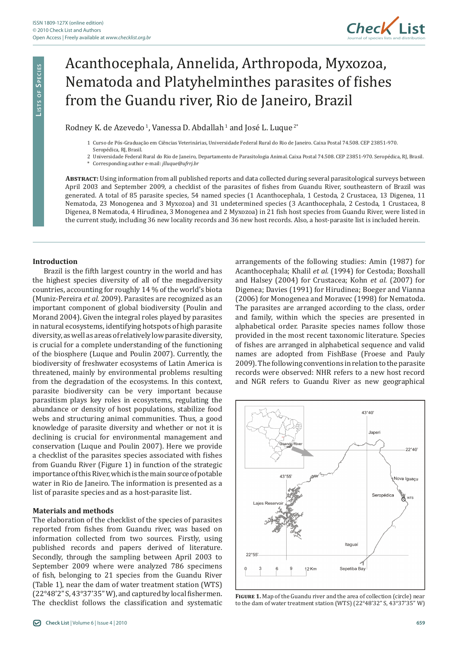

# Acanthocephala, Annelida, Arthropoda, Myxozoa, Nematoda and Platyhelminthes parasites of fishes from the Guandu river, Rio de Janeiro, Brazil

Rodney K. de Azevedo<sup>1</sup>, Vanessa D. Abdallah<sup>1</sup> and José L. Luque<sup>2\*</sup>

- 1 Curso de Pós-Graduação em Ciências Veterinárias, Universidade Federal Rural do Rio de Janeiro. Caixa Postal 74.508. CEP 23851-970. Seropédica, RJ, Brasil.
- 2 Universidade Federal Rural do Rio de Janeiro, Departamento de Parasitologia Animal. Caixa Postal 74.508. CEP 23851-970. Seropédica, RJ, Brasil. \* Corresponding author e-mail: *jlluque@ufrrj.br*

**Abstract:** Using information from all published reports and data collected during several parasitological surveys between April 2003 and September 2009, a checklist of the parasites of fishes from Guandu River, southeastern of Brazil was generated. A total of 85 parasite species, 54 named species (1 Acanthocephala, 1 Cestoda, 2 Crustacea, 13 Digenea, 11 Nematoda, 23 Monogenea and 3 Myxozoa) and 31 undetermined species (3 Acanthocephala, 2 Cestoda, 1 Crustacea, 8 Digenea, 8 Nematoda, 4 Hirudinea, 3 Monogenea and 2 Myxozoa) in 21 fish host species from Guandu River, were listed in the current study, including 36 new locality records and 36 new host records. Also, a host-parasite list is included herein.

# **Introduction**

Brazil is the fifth largest country in the world and has the highest species diversity of all of the megadiversity countries, accounting for roughly 14 % of the world's biota (Muniz-Pereira *et al.* 2009). Parasites are recognized as an important component of global biodiversity (Poulin and Morand 2004). Given the integral roles played by parasites in natural ecosystems, identifying hotspots of high parasite diversity, as well as areas of relatively low parasite diversity, is crucial for a complete understanding of the functioning of the biosphere (Luque and Poulin 2007). Currently, the biodiversity of freshwater ecosystems of Latin America is threatened, mainly by environmental problems resulting from the degradation of the ecosystems. In this context, parasite biodiversity can be very important because parasitism plays key roles in ecosystems, regulating the abundance or density of host populations, stabilize food webs and structuring animal communities. Thus, a good knowledge of parasite diversity and whether or not it is declining is crucial for environmental management and conservation (Luque and Poulin 2007). Here we provide a checklist of the parasites species associated with fishes from Guandu River (Figure 1) in function of the strategic importance of this River, which is the main source of potable water in Rio de Janeiro. The information is presented as a list of parasite species and as a host-parasite list.

#### **Materials and methods**

The elaboration of the checklist of the species of parasites reported from fishes from Guandu river, was based on information collected from two sources. Firstly, using published records and papers derived of literature. Secondly, through the sampling between April 2003 to September 2009 where were analyzed 786 specimens of fish, belonging to 21 species from the Guandu River (Table 1), near the dam of water treatment station (WTS) (22°48'2" S, 43°37'35" W), and captured by local fishermen. The checklist follows the classification and systematic

arrangements of the following studies: Amin (1987) for Acanthocephala; Khalil *et al.* (1994) for Cestoda; Boxshall and Halsey (2004) for Crustacea; Kohn *et al.* (2007) for Digenea; Davies (1991) for Hirudinea; Boeger and Vianna (2006) for Monogenea and Moravec (1998) for Nematoda. The parasites are arranged according to the class, order and family, within which the species are presented in alphabetical order. Parasite species names follow those provided in the most recent taxonomic literature. Species of fishes are arranged in alphabetical sequence and valid names are adopted from FishBase (Froese and Pauly 2009). The following conventions in relation to the parasite records were observed: NHR refers to a new host record and NGR refers to Guandu River as new geographical



**Figure 1.** Map of the Guandu river and the area of collection (circle) near to the dam of water treatment station (WTS) (22°48'32" S, 43°37'35" W)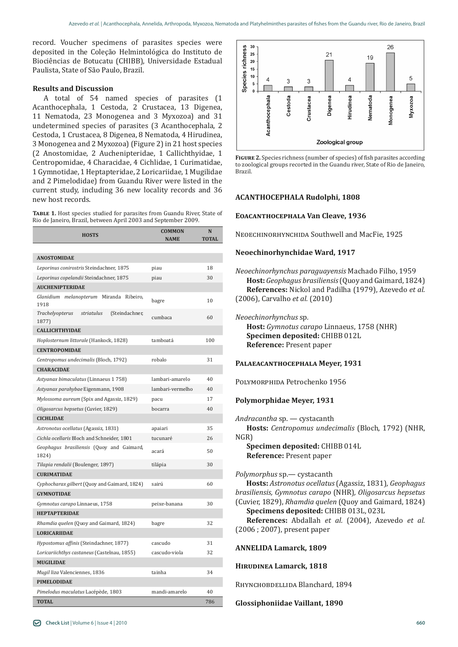record. Voucher specimens of parasites species were deposited in the Coleção Helmintológica do Instituto de Biociências de Botucatu (CHIBB), Universidade Estadual Paulista, State of São Paulo, Brazil.

# **Results and Discussion**

A total of 54 named species of parasites (1 Acanthocephala, 1 Cestoda, 2 Crustacea, 13 Digenea, 11 Nematoda, 23 Monogenea and 3 Myxozoa) and 31 undetermined species of parasites (3 Acanthocephala, 2 Cestoda, 1 Crustacea, 8 Digenea, 8 Nematoda, 4 Hirudinea, 3 Monogenea and 2 Myxozoa) (Figure 2) in 21 host species (2 Anostomidae, 2 Auchenipteridae, 1 Callichthyidae, 1 Centropomidae, 4 Characidae, 4 Cichlidae, 1 Curimatidae, 1 Gymnotidae, 1 Heptapteridae, 2 Loricariidae, 1 Mugilidae and 2 Pimelodidae) from Guandu River were listed in the current study, including 36 new locality records and 36

**Table 1.** Host species studied for parasites from Guandu River, State of Rio de Janeiro, Brazil, between April 2003 and September 2009.

| <b>HOSTS</b>                                             | <b>COMMON</b>    | N            |
|----------------------------------------------------------|------------------|--------------|
|                                                          | <b>NAME</b>      | <b>TOTAL</b> |
|                                                          |                  |              |
| <b>ANOSTOMIDAE</b>                                       |                  |              |
| Leporinus conirostris Steindachner, 1875                 | piau             | 18           |
| Leporinus copelandii Steindachner, 1875                  | piau             | 30           |
| <b>AUCHENIPTERIDAE</b>                                   |                  |              |
| Glanidium melanopterum Miranda Ribeiro,<br>1918          | bagre            | 10           |
| Trachelyopterus<br>striatulus<br>(Steindachner,<br>1877) | cumbaca          | 60           |
| <b>CALLICHTHYIDAE</b>                                    |                  |              |
| Hoplosternum littorale (Hankock, 1828)                   | tamboatá         | 100          |
| <b>CENTROPOMIDAE</b>                                     |                  |              |
| Centropomus undecimalis (Bloch, 1792)                    | robalo           | 31           |
| <b>CHARACIDAE</b>                                        |                  |              |
| Astyanax bimaculatus (Linnaeus 1 758)                    | lambari-amarelo  | 40           |
| Astyanax parahybae Eigenmann, 1908                       | lambari-vermelho | 40           |
| Mylossoma aureum (Spix and Agassiz, 1829)                | pacu             | 17           |
| Oligosarcus hepsetus (Cuvier, 1829)                      | bocarra          | 40           |
| <b>CICHLIDAE</b>                                         |                  |              |
| Astronotus ocellatus (Agassiz, 1831)                     | apaiari          | 35           |
| Cichla ocellaris Bloch and Schneider, 1801               | tucunaré         | 26           |
| Geophagus brasiliensis (Quoy and Gaimard,<br>1824)       | acará            | 50           |
| Tilapia rendalii (Boulenger, 1897)                       | tilápia          | 30           |
| <b>CURIMATIDAE</b>                                       |                  |              |
| Cyphocharax gilbert (Quoy and Gaimard, 1824)             | sairú            | 60           |
| <b>GYMNOTIDAE</b>                                        |                  |              |
| Gymnotus carapo Linnaeus, 1758                           | peixe-banana     | 30           |
| <b>HEPTAPTERIDAE</b>                                     |                  |              |
| Rhamdia quelen (Quoy and Gaimard, 1824)                  | bagre            | 32           |
| <b>LORICARIIDAE</b>                                      |                  |              |
| Hypostomus affinis (Steindachner, 1877)                  | cascudo          | 31           |
| Loricariichthys castaneus (Castelnau, 1855)              | cascudo-viola    | 32           |
| <b>MUGILIDAE</b>                                         |                  |              |
| Mugil liza Valenciennes, 1836                            | tainha           | 34           |
| <b>PIMELODIDAE</b>                                       |                  |              |
| Pimelodus maculatus Lacépède, 1803                       | mandi-amarelo    | 40           |
| <b>TOTAL</b>                                             |                  | 786          |
|                                                          |                  |              |



**Figure 2.** Species richness (number of species) of fish parasites according to zoological groups recorted in the Guandu river, State of Rio de Janeiro, Brazil.

## new host records. **ACANTHOCEPHALA Rudolphi, 1808**

#### **Eoacanthocephala Van Cleave, 1936**

NEOECHINORHYNCHIDA Southwell and MacFie, 1925

#### **Neoechinorhynchidae Ward, 1917**

*Neoechinorhynchus paraguayensis* Machado Filho, 1959 **Host:** *Geophagus brasiliensis* (Quoy and Gaimard, 1824) **References:** Nickol and Padilha (1979), Azevedo *et al.* (2006), Carvalho *et al.* (2010)

#### *Neoechinorhynchus* sp*.*

**Host:** *Gymnotus carapo* Linnaeus, 1758 (NHR) **Specimen deposited:** CHIBB 012L **Reference:** Present paper

#### **Palaeacanthocephala Meyer, 1931**

Polymorphida Petrochenko 1956

#### **Polymorphidae Meyer, 1931**

*Andracantha* sp. — cystacanth

**Hosts:** *Centropomus undecimalis* (Bloch, 1792) (NHR, NGR)

**Specimen deposited:** CHIBB 014L **Reference:** Present paper

*Polymorphus* sp.— cystacanth

**Hosts:** *Astronotus ocellatus* (Agassiz, 1831)*, Geophagus brasiliensis, Gymnotus carapo* (NHR)*, Oligosarcus hepsetus* (Cuvier, 1829), *Rhamdia quelen* (Quoy and Gaimard, 1824)

**Specimens deposited:** CHIBB 013L, 023L

**References:** Abdallah *et al.* (2004), Azevedo *et al.* (2006 ; 2007), present paper

# **ANNELIDA Lamarck, 1809**

#### **Hirudinea Lamarck, 1818**

RHYNCHOBDELLIDA Blanchard, 1894

**Glossiphoniidae Vaillant, 1890**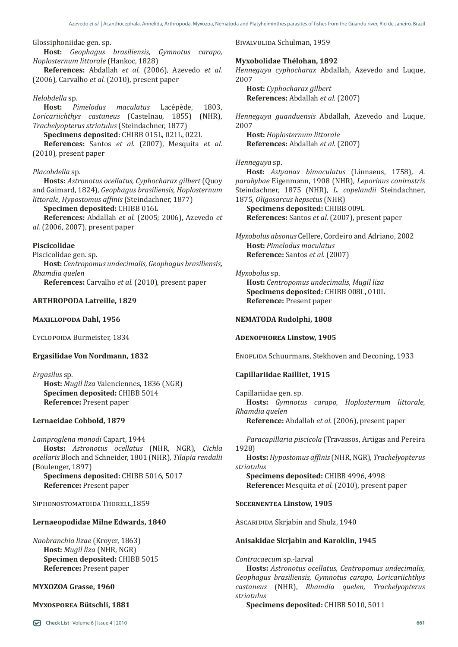#### Glossiphoniidae gen. sp.

**Host:** *Geophagus brasiliensis, Gymnotus carapo, Hoplosternum littorale* (Hankoc, 1828)

**References:** Abdallah *et al.* (2006), Azevedo *et al.* (2006), Carvalho *et al.* (2010), present paper

*Helobdella* sp. **Host:** *Pimelodus maculatus* Lacépède, 1803, *Loricariichthys castaneus* (Castelnau, 1855) (NHR), *Trachelyopterus striatulus* (Steindachner, 1877)

**Specimens deposited:** CHIBB 015L, 021L, 022L **References:** Santos *et al.* (2007), Mesquita *et al.* (2010), present paper

#### *Placobdella* sp.

**Hosts:** *Astronotus ocellatus, Cyphocharax gilbert* (Quoy and Gaimard, 1824)*, Geophagus brasiliensis, Hoplosternum littorale*, *Hypostomus affinis* (Steindachner, 1877)

**Specimen deposited:** CHIBB 016L

**References:** Abdallah *et al.* (2005; 2006), Azevedo *et al.* (2006, 2007), present paper

#### **Piscicolidae**

Piscicolidae gen. sp.

**Host:** *Centropomus undecimalis, Geophagus brasiliensis, Rhamdia quelen*

**References:** Carvalho *et al.* (2010), present paper

## **ARTHROPODA Latreille, 1829**

#### **Maxillopoda Dahl, 1956**

Cyclopoida Burmeister, 1834

# **Ergasilidae Von Nordmann, 1832**

*Ergasilus* sp. **Host:** *Mugil liza* Valenciennes, 1836 (NGR) **Specimen deposited:** CHIBB 5014 **Reference:** Present paper

# **Lernaeidae Cobbold, 1879**

*Lamproglena monodi* Capart, 1944 **Hosts:** *Astronotus ocellatus* (NHR, NGR), *Cichla ocellaris* Bloch and Schneider, 1801 (NHR)*, Tilapia rendalii*  (Boulenger, 1897) **Specimens deposited:** CHIBB 5016, 5017 **Reference:** Present paper

SIPHONOSTOMATOIDA THORELL, 1859

#### **Lernaeopodidae Milne Edwards, 1840**

*Naobranchia lizae* (Kroyer, 1863) **Host:** *Mugil liza* (NHR, NGR) **Specimen deposited:** CHIBB 5015 **Reference:** Present paper

#### **MYXOZOA Grasse, 1960**

#### **Myxosporea Bütschli, 1881**

Bivalvulida Schulman, 1959

#### **Myxobolidae Thélohan, 1892**

*Henneguya cyphocharax* Abdallah, Azevedo and Luque, 2007

**Host:** *Cyphocharax gilbert* **References:** Abdallah *et al.* (2007)

*Henneguya guanduensis* Abdallah, Azevedo and Luque, 2007

**Host:** *Hoplosternum littorale* **References:** Abdallah *et al.* (2007)

#### *Henneguya* sp.

**Host:** *Astyanax bimaculatus* (Linnaeus, 1758)*, A. parahybae* Eigenmann, 1908 (NHR)*, Leporinus conirostris* Steindachner, 1875 (NHR), *L. copelandii* Steindachner, 1875*, Oligosarcus hepsetus* (NHR)

**Specimens deposited:** CHIBB 009L **References:** Santos *et al.* (2007), present paper

*Myxobolus absonus* Cellere, Cordeiro and Adriano, 2002 **Host:** *Pimelodus maculatus*  **Reference:** Santos *et al.* (2007)

#### *Myxobolus* sp.

**Host:** *Centropomus undecimalis, Mugil liza* **Specimens deposited:** CHIBB 008L, 010L **Reference:** Present paper

# **NEMATODA Rudolphi, 1808**

#### **Adenophorea Linstow, 1905**

Enoplida Schuurmans, Stekhoven and Deconing, 1933

#### **Capillariidae Railliet, 1915**

Capillariidae gen. sp. **Hosts:** *Gymnotus carapo, Hoplosternum littorale, Rhamdia quelen*

**Reference:** Abdallah *et al.* (2006), present paper

*Paracapillaria piscicola* (Travassos, Artigas and Pereira 1928)

**Hosts:** *Hypostomus affinis* (NHR, NGR)*, Trachelyopterus striatulus* 

**Specimens deposited:** CHIBB 4996, 4998 **Reference:** Mesquita *et al.* (2010), present paper

#### **Secernentea Linstow, 1905**

Ascaridida Skrjabin and Shulz, 1940

#### **Anisakidae Skrjabin and Karoklin, 1945**

*Contracaecum* sp.-larval

**Hosts:** *Astronotus ocellatus, Centropomus undecimalis, Geophagus brasiliensis, Gymnotus carapo, Loricariichthys castaneus* (NHR), *Rhamdia quelen, Trachelyopterus striatulus* 

**Specimens deposited:** CHIBB 5010, 5011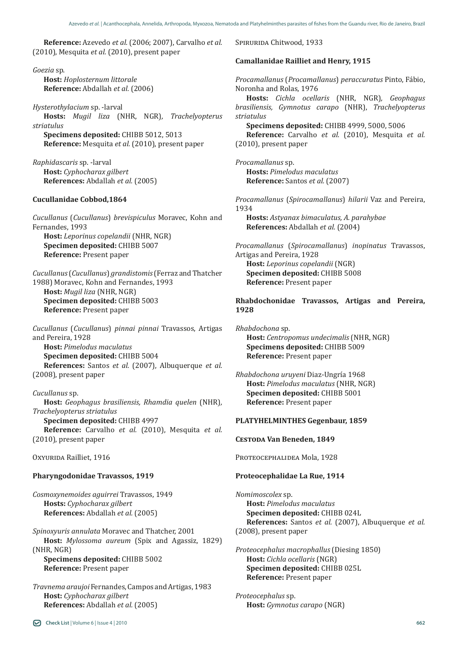**Reference:** Azevedo *et al.* (2006; 2007), Carvalho *et al.* (2010), Mesquita *et al.* (2010), present paper

*Goezia* sp. **Host:** *Hoplosternum littorale* **Reference:** Abdallah *et al.* (2006)

*Hysterothylacium* sp. -larval **Hosts:** *Mugil liza* (NHR, NGR)*, Trachelyopterus striatulus*  **Specimens deposited:** CHIBB 5012, 5013

**Reference:** Mesquita *et al.* (2010), present paper

*Raphidascaris* sp. -larval **Host:** *Cyphocharax gilbert* **References:** Abdallah *et al.* (2005)

#### **Cucullanidae Cobbod,1864**

*Cucullanus* (*Cucullanus*) *brevispiculus* Moravec, Kohn and Fernandes, 1993 **Host:** *Leporinus copelandii* (NHR, NGR)

**Specimen deposited:** CHIBB 5007 **Reference:** Present paper

*Cucullanus* (*Cucullanus*) *grandistomis* (Ferraz and Thatcher 1988) Moravec, Kohn and Fernandes, 1993 **Host:** *Mugil liza* (NHR, NGR) **Specimen deposited:** CHIBB 5003 **Reference:** Present paper

*Cucullanus* (*Cucullanus*) *pinnai pinnai* Travassos, Artigas and Pereira, 1928 **Host:** *Pimelodus maculatus*

**Specimen deposited:** CHIBB 5004 **References:** Santos *et al.* (2007), Albuquerque *et al.*  (2008), present paper

*Cucullanus* sp. **Host:** *Geophagus brasiliensis, Rhamdia quelen* (NHR)*, Trachelyopterus striatulus* **Specimen deposited:** CHIBB 4997

**Reference:** Carvalho *et al.* (2010), Mesquita *et al.* (2010), present paper

Oxyurida Railliet, 1916

#### **Pharyngodonidae Travassos, 1919**

*Cosmoxynemoides aguirrei* Travassos, 1949 **Hosts:** *Cyphocharax gilbert* **References:** Abdallah *et al.* (2005)

*Spinoxyuris annulata* Moravec and Thatcher, 2001 **Host:** *Mylossoma aureum* (Spix and Agassiz, 1829) (NHR, NGR)

**Specimens deposited:** CHIBB 5002 **Reference:** Present paper

*Travnema araujoi* Fernandes, Campos and Artigas, 1983 **Host:** *Cyphocharax gilbert* **References:** Abdallah *et al.* (2005)

SPIRURIDA Chitwood, 1933

#### **Camallanidae Railliet and Henry, 1915**

*Procamallanus* (*Procamallanus*) *peraccuratus* Pinto, Fábio, Noronha and Rolas, 1976

**Hosts:** *Cichla ocellaris* (NHR, NGR)*, Geophagus brasiliensis, Gymnotus carapo* (NHR), *Trachelyopterus striatulus* 

**Specimens deposited:** CHIBB 4999, 5000, 5006

**Reference:** Carvalho *et al.* (2010), Mesquita *et al.* (2010), present paper

*Procamallanus* sp. **Hosts:** *Pimelodus maculatus*  **Reference:** Santos *et al.* (2007)

*Procamallanus* (*Spirocamallanus*) *hilarii* Vaz and Pereira, 1934

**Hosts:** *Astyanax bimaculatus, A. parahybae* **References:** Abdallah *et al.* (2004)

*Procamallanus* (*Spirocamallanus*) *inopinatus* Travassos, Artigas and Pereira, 1928 **Host:** *Leporinus copelandii* (NGR) **Specimen deposited:** CHIBB 5008 **Reference:** Present paper

**Rhabdochonidae Travassos, Artigas and Pereira, 1928**

*Rhabdochona* sp. **Host:** *Centropomus undecimalis* (NHR, NGR) **Specimens deposited:** CHIBB 5009 **Reference:** Present paper

*Rhabdochona uruyeni* Diaz-Ungría 1968 **Host:** *Pimelodus maculatus* (NHR, NGR) **Specimen deposited:** CHIBB 5001 **Reference:** Present paper

### **PLATYHELMINTHES Gegenbaur, 1859**

**Cestoda Van Beneden, 1849**

PROTEOCEPHALIDEA Mola, 1928

#### **Proteocephalidae La Rue, 1914**

*Nomimoscolex* sp. **Host:** *Pimelodus maculatus*  **Specimen deposited:** CHIBB 024L **References:** Santos *et al.* (2007), Albuquerque *et al.* (2008), present paper

*Proteocephalus macrophallus* (Diesing 1850) **Host:** *Cichla ocellaris* (NGR) **Specimen deposited:** CHIBB 025L **Reference:** Present paper

*Proteocephalus* sp. **Host:** *Gymnotus carapo* (NGR)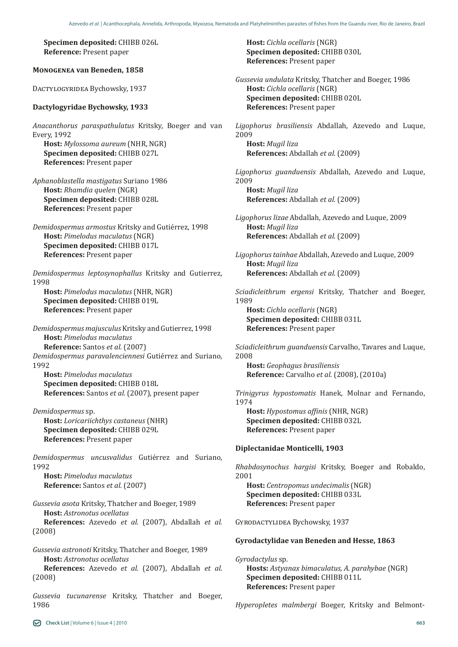**Specimen deposited:** CHIBB 026L **Reference:** Present paper

**Monogenea van Beneden, 1858**

DACTYLOGYRIDEA Bychowsky, 1937

### **Dactylogyridae Bychowsky, 1933**

*Anacanthorus paraspathulatus* Kritsky, Boeger and van Every, 1992

**Host:** *Mylossoma aureum* (NHR, NGR) **Specimen deposited:** CHIBB 027L **References:** Present paper

*Aphanoblastella mastigatus* Suriano 1986 **Host:** *Rhamdia quelen* (NGR) **Specimen deposited:** CHIBB 028L **References:** Present paper

*Demidospermus armostus* Kritsky and Gutiérrez, 1998 **Host:** *Pimelodus maculatus* (NGR) **Specimen deposited:** CHIBB 017L **References:** Present paper

*Demidospermus leptosynophallus* Kritsky and Gutierrez, 1998

**Host:** *Pimelodus maculatus* (NHR, NGR) **Specimen deposited:** CHIBB 019L **References:** Present paper

*Demidospermus majusculus* Kritsky and Gutierrez, 1998 **Host:** *Pimelodus maculatus* **Reference:** Santos *et al.* (2007) *Demidospermus paravalenciennesi* Gutiérrez and Suriano, 1992

**Host:** *Pimelodus maculatus* **Specimen deposited:** CHIBB 018L **References:** Santos *et al.* (2007), present paper

*Demidospermus* sp. **Host:** *Loricariichthys castaneus* (NHR) **Specimen deposited:** CHIBB 029L **References:** Present paper

*Demidospermus uncusvalidus* Gutiérrez and Suriano, 1992 **Host:** *Pimelodus maculatus* **Reference:** Santos *et al.* (2007)

*Gussevia asota* Kritsky, Thatcher and Boeger, 1989 **Host:** *Astronotus ocellatus* **References:** Azevedo *et al.* (2007), Abdallah *et al.* (2008)

*Gussevia astronoti* Kritsky, Thatcher and Boeger, 1989 **Host:** *Astronotus ocellatus* **References:** Azevedo *et al.* (2007), Abdallah *et al.*

*Gussevia tucunarense* Kritsky, Thatcher and Boeger, 1986

**Host:** *Cichla ocellaris* (NGR) **Specimen deposited:** CHIBB 030L **References:** Present paper

*Gussevia undulata* Kritsky, Thatcher and Boeger, 1986 **Host:** *Cichla ocellaris* (NGR) **Specimen deposited:** CHIBB 020L **References:** Present paper

*Ligophorus brasiliensis* Abdallah, Azevedo and Luque, 2009 **Host:** *Mugil liza*

**References:** Abdallah *et al.* (2009)

*Ligophorus guanduensis* Abdallah, Azevedo and Luque, 2009

**Host:** *Mugil liza* **References:** Abdallah *et al.* (2009)

*Ligophorus lizae* Abdallah, Azevedo and Luque, 2009 **Host:** *Mugil liza* **References:** Abdallah *et al.* (2009)

*Ligophorus tainhae* Abdallah, Azevedo and Luque, 2009 **Host:** *Mugil liza* **References:** Abdallah *et al.* (2009)

*Sciadicleithrum ergensi* Kritsky, Thatcher and Boeger, 1989

**Host:** *Cichla ocellaris* (NGR) **Specimen deposited:** CHIBB 031L **References:** Present paper

*Sciadicleithrum guanduensis* Carvalho, Tavares and Luque, 2008

**Host:** *Geophagus brasiliensis* **Reference:** Carvalho *et al.* (2008), (2010a)

*Trinigyrus hypostomatis* Hanek, Molnar and Fernando, 1974

**Host:** *Hypostomus affinis* (NHR, NGR) **Specimen deposited:** CHIBB 032L **References:** Present paper

# **Diplectanidae Monticelli, 1903**

*Rhabdosynochus hargisi* Kritsky, Boeger and Robaldo, 2001

**Host:** *Centropomus undecimalis* (NGR) **Specimen deposited:** CHIBB 033L **References:** Present paper

GYRODACTYLIDEA Bychowsky, 1937

# **Gyrodactylidae van Beneden and Hesse, 1863**

*Gyrodactylus* sp. **Hosts:** *Astyanax bimaculatus, A. parahybae* (NGR) **Specimen deposited:** CHIBB 011L **References:** Present paper

*Hyperopletes malmbergi* Boeger, Kritsky and Belmont-

(2008)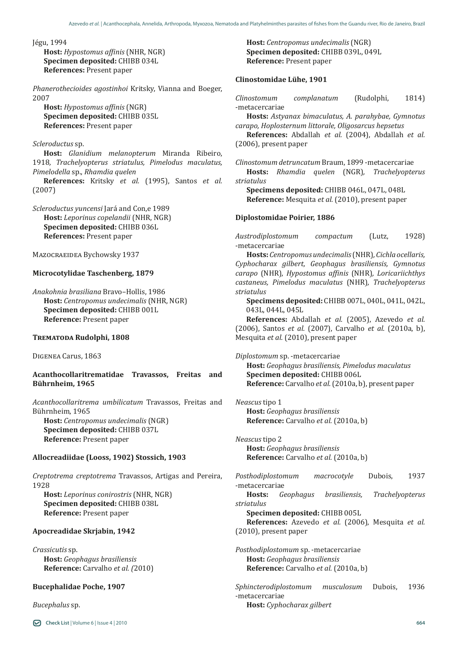Jégu, 1994

**Host:** *Hypostomus affinis* (NHR, NGR) **Specimen deposited:** CHIBB 034L **References:** Present paper

*Phanerothecioides agostinhoi* Kritsky, Vianna and Boeger, 2007

**Host:** *Hypostomus affinis* (NGR) **Specimen deposited:** CHIBB 035L **References:** Present paper

## *Scleroductus* sp.

**Host:** *Glanidium melanopterum* Miranda Ribeiro, 1918*, Trachelyopterus striatulus, Pimelodus maculatus, Pimelodella* sp., *Rhamdia quelen*

**References:** Kritsky *et al.* (1995), Santos *et al.* (2007)

*Scleroductus yuncensi* Jará and Con,e 1989 **Host:** *Leporinus copelandii* (NHR, NGR) **Specimen deposited:** CHIBB 036L **References:** Present paper

Mazocraeidea Bychowsky 1937

#### **Microcotylidae Taschenberg, 1879**

*Anakohnia brasiliana* Bravo–Hollis, 1986 **Host:** *Centropomus undecimalis* (NHR, NGR) **Specimen deposited:** CHIBB 001L **Reference:** Present paper

#### **Trematoda Rudolphi, 1808**

Digenea Carus, 1863

# **Acanthocollaritrematidae Travassos, Freitas and Bührnheim, 1965**

*Acanthocollaritrema umbilicatum* Travassos, Freitas and Bührnheim, 1965 **Host:** *Centropomus undecimalis* (NGR) **Specimen deposited:** CHIBB 037L **Reference:** Present paper

## **Allocreadiidae (Looss, 1902) Stossich, 1903**

*Creptotrema creptotrema* Travassos, Artigas and Pereira, 1928

**Host:** *Leporinus conirostris* (NHR, NGR) **Specimen deposited:** CHIBB 038L **Reference:** Present paper

# **Apocreadidae Skrjabin, 1942**

*Crassicutis* sp. **Host:** *Geophagus brasiliensis* **Reference:** Carvalho *et al. (*2010)

# **Bucephalidae Poche, 1907**

*Bucephalus* sp.

**Check List** | Volume 6 | Issue 4 | 2010

**Host:** *Centropomus undecimalis* (NGR) **Specimen deposited:** CHIBB 039L, 049L **Reference:** Present paper

### **Clinostomidae Lühe, 1901**

*Clinostomum complanatum* (Rudolphi, 1814) -metacercariae

**Hosts:** *Astyanax bimaculatus, A. parahybae, Gymnotus carapo, Hoplosternum littorale, Oligosarcus hepsetus*

**References:** Abdallah *et al.* (2004), Abdallah *et al.* (2006), present paper

*Clinostomum detruncatum* Braum, 1899 -metacercariae **Hosts:** *Rhamdia quelen* (NGR)*, Trachelyopterus striatulus* 

**Specimens deposited:** CHIBB 046L, 047L, 048L **Reference:** Mesquita *et al.* (2010), present paper

#### **Diplostomidae Poirier, 1886**

*Austrodiplostomum compactum* (Lutz, 1928) -metacercariae

**Hosts:** *Centropomus undecimalis* (NHR)*, Cichla ocellaris, Cyphocharax gilbert, Geophagus brasiliensis, Gymnotus carapo* (NHR)*, Hypostomus affinis* (NHR)*, Loricariichthys castaneus, Pimelodus maculatus* (NHR)*, Trachelyopterus striatulus* 

**Specimens deposited:** CHIBB 007L, 040L, 041L, 042L, 043L, 044L, 045L

**References:** Abdallah *et al.* (2005), Azevedo *et al.* (2006), Santos *et al.* (2007), Carvalho *et al.* (2010a, b), Mesquita *et al.* (2010), present paper

*Diplostomum* sp. -metacercariae **Host:** *Geophagus brasiliensis, Pimelodus maculatus* **Specimen deposited:** CHIBB 006L **Reference:** Carvalho *et al.* (2010a, b), present paper

*Neascus* tipo 1 **Host:** *Geophagus brasiliensis* **Reference:** Carvalho *et al.* (2010a, b)

*Neascus* tipo 2 **Host:** *Geophagus brasiliensis* **Reference:** Carvalho *et al.* (2010a, b)

*Posthodiplostomum macrocotyle* Dubois, 1937

-metacercariae<br> **Hosts:** *Geophagus* **Hosts:** *Geophagus brasiliensis, Trachelyopterus striatulus* 

**Specimen deposited:** CHIBB 005L

**References:** Azevedo *et al.* (2006), Mesquita *et al.* (2010), present paper

*Posthodiplostomum* sp. -metacercariae **Host:** *Geophagus brasiliensis*  **Reference:** Carvalho *et al.* (2010a, b)

*Sphincterodiplostomum musculosum* Dubois, 1936 -metacercariae **Host:** *Cyphocharax gilbert*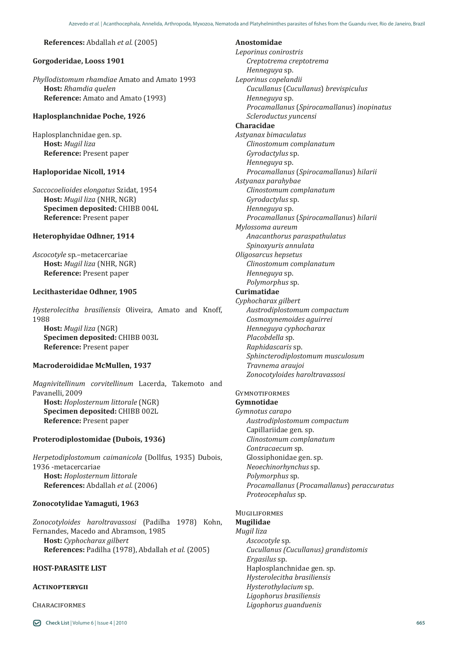#### **References:** Abdallah *et al.* (2005)

# **Gorgoderidae, Looss 1901**

*Phyllodistomum rhamdiae* Amato and Amato 1993 **Host:** *Rhamdia quelen* **Reference:** Amato and Amato (1993)

#### **Haplosplanchnidae Poche, 1926**

Haplosplanchnidae gen. sp. **Host:** *Mugil liza* **Reference:** Present paper

# **Haploporidae Nicoll, 1914**

*Saccocoelioides elongatus* Szidat, 1954 **Host:** *Mugil liza* (NHR, NGR) **Specimen deposited:** CHIBB 004L **Reference:** Present paper

#### **Heterophyidae Odhner, 1914**

*Ascocotyle* sp.–metacercariae **Host:** *Mugil liza* (NHR, NGR) **Reference:** Present paper

# **Lecithasteridae Odhner, 1905**

*Hysterolecitha brasiliensis* Oliveira, Amato and Knoff, 1988 **Host:** *Mugil liza* (NGR) **Specimen deposited:** CHIBB 003L **Reference:** Present paper

#### **Macroderoididae McMullen, 1937**

*Magnivitellinum corvitellinum* Lacerda, Takemoto and Pavanelli, 2009 **Host:** *Hoplosternum littorale* (NGR) **Specimen deposited:** CHIBB 002L **Reference:** Present paper

#### **Proterodiplostomidae (Dubois, 1936)**

*Herpetodiplostomum caimanicola* (Dollfus, 1935) Dubois, 1936 -metacercariae **Host:** *Hoplosternum littorale* **References:** Abdallah *et al.* (2006)

#### **Zonocotylidae Yamaguti, 1963**

*Zonocotyloides haroltravassosi* (Padilha 1978) Kohn, Fernandes, Macedo and Abramson, 1985 **Host:** *Cyphocharax gilbert* **References:** Padilha (1978), Abdallah *et al.* (2005)

# **HOST-PARASITE LIST**

# **Actinopterygii**

**CHARACIFORMES** 

**Anostomidae** *Leporinus conirostris Creptotrema creptotrema Henneguya* sp. *Leporinus copelandii Cucullanus* (*Cucullanus*) *brevispiculus Henneguya* sp. *Procamallanus* (*Spirocamallanus*) *inopinatus Scleroductus yuncensi* **Characidae** *Astyanax bimaculatus Clinostomum complanatum Gyrodactylus* sp. *Henneguya* sp. *Procamallanus* (*Spirocamallanus*) *hilarii Astyanax parahybae Clinostomum complanatum Gyrodactylus* sp. *Henneguya* sp. *Procamallanus* (*Spirocamallanus*) *hilarii Mylossoma aureum Anacanthorus paraspathulatus Spinoxyuris annulata Oligosarcus hepsetus Clinostomum complanatum Henneguya* sp. *Polymorphus* sp. **Curimatidae** *Cyphocharax gilbert Austrodiplostomum compactum Cosmoxynemoides aguirrei Henneguya cyphocharax Placobdella* sp. *Raphidascaris* sp. *Sphincterodiplostomum musculosum Travnema araujoi*

*Zonocotyloides haroltravassosi*

# **GYMNOTIFORMES**

**Gymnotidae** *Gymnotus carapo Austrodiplostomum compactum* Capillariidae gen. sp. *Clinostomum complanatum Contracaecum* sp. Glossiphonidae gen. sp. *Neoechinorhynchus* sp. *Polymorphus* sp. *Procamallanus* (*Procamallanus*) *peraccuratus Proteocephalus* sp.

## **MUGILIFORMES**

**Mugilidae**

*Mugil liza Ascocotyle* sp*. Cucullanus (Cucullanus) grandistomis Ergasilus* sp. Haplosplanchnidae gen. sp. *Hysterolecitha brasiliensis Hysterothylacium* sp. *Ligophorus brasiliensis Ligophorus guanduenis*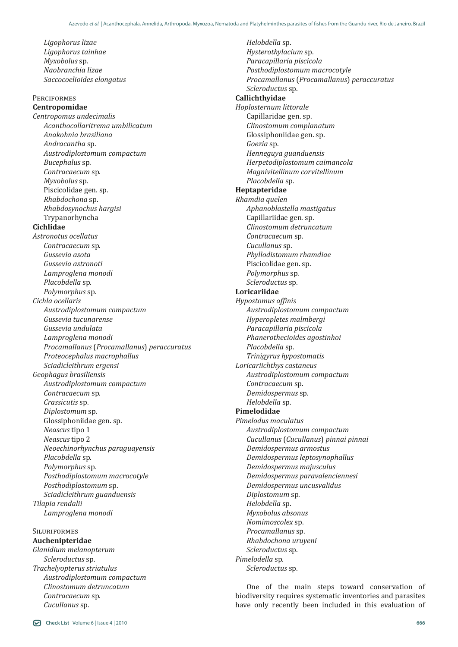*Ligophorus lizae Ligophorus tainhae Myxobolus* sp. *Naobranchia lizae Saccocoelioides elongatus* **PERCIFORMES Centropomidae** *Centropomus undecimalis Acanthocollaritrema umbilicatum Anakohnia brasiliana Andracantha* sp. *Austrodiplostomum compactum Bucephalus* sp. *Contracaecum* sp. *Myxobolus* sp. Piscicolidae gen. sp. *Rhabdochona* sp. *Rhabdosynochus hargisi* Trypanorhyncha **Cichlidae** *Astronotus ocellatus Contracaecum* sp. *Gussevia asota Gussevia astronoti Lamproglena monodi Placobdella* sp. *Polymorphus* sp. *Cichla ocellaris Austrodiplostomum compactum Gussevia tucunarense Gussevia undulata Lamproglena monodi Procamallanus* (*Procamallanus*) *peraccuratus Proteocephalus macrophallus Sciadicleithrum ergensi Geophagus brasiliensis Austrodiplostomum compactum Contracaecum* sp. *Crassicutis* sp. *Diplostomum* sp. Glossiphoniidae gen. sp. *Neascus* tipo 1 *Neascus* tipo 2 *Neoechinorhynchus paraguayensis Placobdella* sp. *Polymorphus* sp. *Posthodiplostomum macrocotyle Posthodiplostomum* sp. *Sciadicleithrum guanduensis Tilapia rendalii Lamproglena monodi*

#### **SILURIFORMES Auchenipteridae**

*Glanidium melanopterum Scleroductus* sp. *Trachelyopterus striatulus Austrodiplostomum compactum Clinostomum detruncatum Contracaecum* sp. *Cucullanus* sp.

*Helobdella* sp. *Hysterothylacium* sp. *Paracapillaria piscicola Posthodiplostomum macrocotyle Procamallanus* (*Procamallanus*) *peraccuratus Scleroductus* sp. **Callichthyidae** *Hoplosternum littorale* Capillaridae gen. sp. *Clinostomum complanatum* Glossiphoniidae gen. sp. *Goezia* sp. *Henneguya guanduensis Herpetodiplostomum caimancola Magnivitellinum corvitellinum Placobdella* sp. **Heptapteridae** *Rhamdia quelen Aphanoblastella mastigatus* Capillariidae gen. sp. *Clinostomum detruncatum Contracaecum* sp. *Cucullanus* sp. *Phyllodistomum rhamdiae* Piscicolidae gen. sp. *Polymorphus* sp. *Scleroductus* sp. **Loricariidae** *Hypostomus affinis Austrodiplostomum compactum Hyperopletes malmbergi Paracapillaria piscicola Phanerothecioides agostinhoi Placobdella* sp. *Trinigyrus hypostomatis Loricariichthys castaneus Austrodiplostomum compactum Contracaecum* sp. *Demidospermus* sp. *Helobdella* sp. **Pimelodidae** *Pimelodus maculatus Austrodiplostomum compactum Cucullanus* (*Cucullanus*) *pinnai pinnai Demidospermus armostus Demidospermus leptosynophallus Demidospermus majusculus Demidospermus paravalenciennesi Demidospermus uncusvalidus Diplostomum* sp. *Helobdella* sp. *Myxobolus absonus Nomimoscolex* sp. *Procamallanus* sp. *Rhabdochona uruyeni Scleroductus* sp. *Pimelodella* sp. *Scleroductus* sp.

One of the main steps toward conservation of biodiversity requires systematic inventories and parasites have only recently been included in this evaluation of